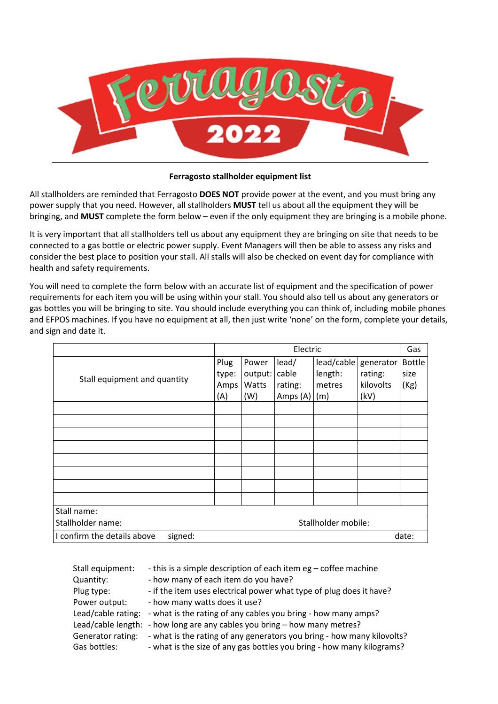

#### **Ferragosto stallholder equipment list**

All stallholders are reminded that Ferragosto **DOES NOT** provide power at the event, and you must bring any power supply that you need. However, all stallholders **MUST** tell us about all the equipment they will be bringing, and **MUST** complete the form below – even if the only equipment they are bringing is a mobile phone.

It is very important that all stallholders tell us about any equipment they are bringing on site that needs to be connected to a gas bottle or electric power supply. Event Managers will then be able to assess any risks and consider the best place to position your stall. All stalls will also be checked on event day for compliance with health and safety requirements.

You will need to complete the form below with an accurate list of equipment and the specification of power requirements for each item you will be using within your stall. You should also tell us about any generators or gas bottles you will be bringing to site. You should include everything you can think of, including mobile phones and EFPOS machines. If you have no equipment at all, then just write 'none' on the form, complete your details, and sign and date it.

|                                                 | Electric |         |          |                      |                  | Gas           |  |
|-------------------------------------------------|----------|---------|----------|----------------------|------------------|---------------|--|
|                                                 | Plug     | Power   | lead/    | lead/cable generator |                  | <b>Bottle</b> |  |
| Stall equipment and quantity                    | type:    | output: | cable    | length:              | rating:          | size          |  |
|                                                 | Amps     | Watts   | rating:  | metres               | <b>kilovolts</b> | (Kg)          |  |
|                                                 | (A)      | (W)     | Amps (A) | (m)                  | (kV)             |               |  |
|                                                 |          |         |          |                      |                  |               |  |
|                                                 |          |         |          |                      |                  |               |  |
|                                                 |          |         |          |                      |                  |               |  |
|                                                 |          |         |          |                      |                  |               |  |
|                                                 |          |         |          |                      |                  |               |  |
|                                                 |          |         |          |                      |                  |               |  |
|                                                 |          |         |          |                      |                  |               |  |
|                                                 |          |         |          |                      |                  |               |  |
| Stall name:                                     |          |         |          |                      |                  |               |  |
| Stallholder name:<br>Stallholder mobile:        |          |         |          |                      |                  |               |  |
| I confirm the details above<br>signed:<br>date: |          |         |          |                      |                  |               |  |

| Stall equipment:   | - this is a simple description of each item eg – coffee machine           |
|--------------------|---------------------------------------------------------------------------|
| Quantity:          | - how many of each item do you have?                                      |
| Plug type:         | - if the item uses electrical power what type of plug does it have?       |
| Power output:      | - how many watts does it use?                                             |
| Lead/cable rating: | - what is the rating of any cables you bring - how many amps?             |
|                    | Lead/cable length: - how long are any cables you bring - how many metres? |
| Generator rating:  | - what is the rating of any generators you bring - how many kilovolts?    |
| Gas bottles:       | - what is the size of any gas bottles you bring - how many kilograms?     |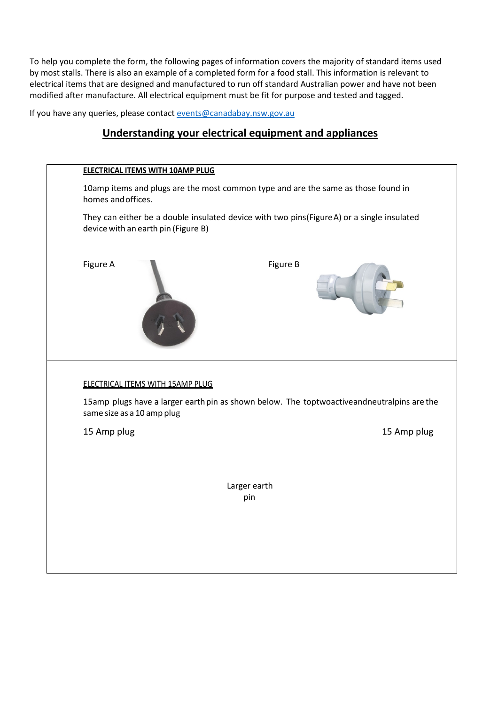To help you complete the form, the following pages of information covers the majority of standard items used by most stalls. There is also an example of a completed form for a food stall. This information is relevant to electrical items that are designed and manufactured to run off standard Australian power and have not been modified after manufacture. All electrical equipment must be fit for purpose and tested and tagged.

If you have any queries, please contact [events@canadabay.nsw.gov.au](mailto:events@canadabay.nsw.gov.au)

## **Understanding your electrical equipment and appliances**

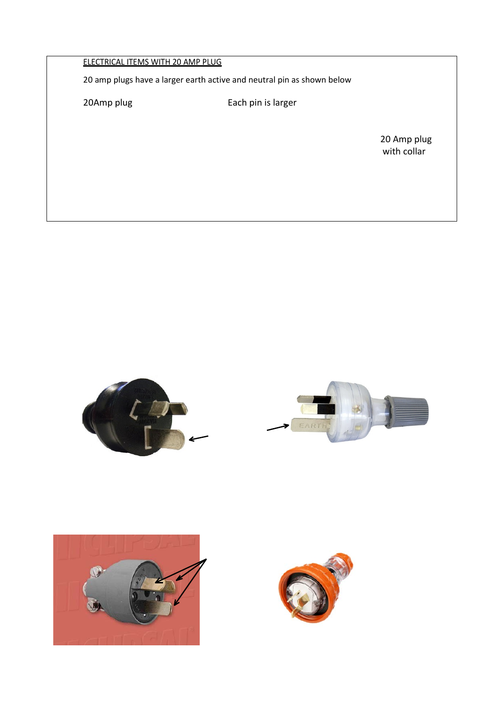### ELECTRICAL ITEMS WITH 20 AMP PLUG

20 amp plugs have a larger earth active and neutral pin as shown below

20Amp plug extending the Each pin is larger

20 Amp plug<br>with collar with collar to the collar to the collar to the collar to the collar to the collar to the collar